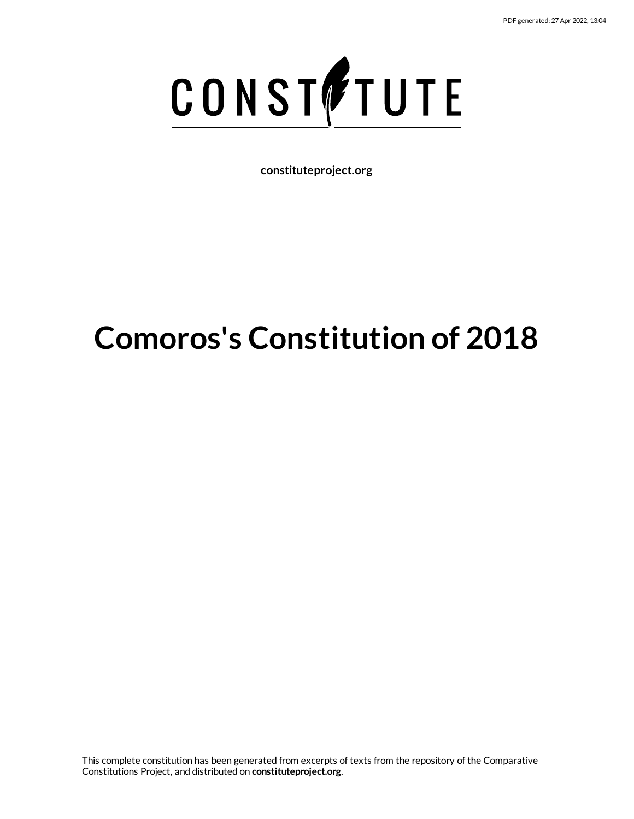

**constituteproject.org**

# **Comoros's Constitution of 2018**

This complete constitution has been generated from excerpts of texts from the repository of the Comparative Constitutions Project, and distributed on **constituteproject.org**.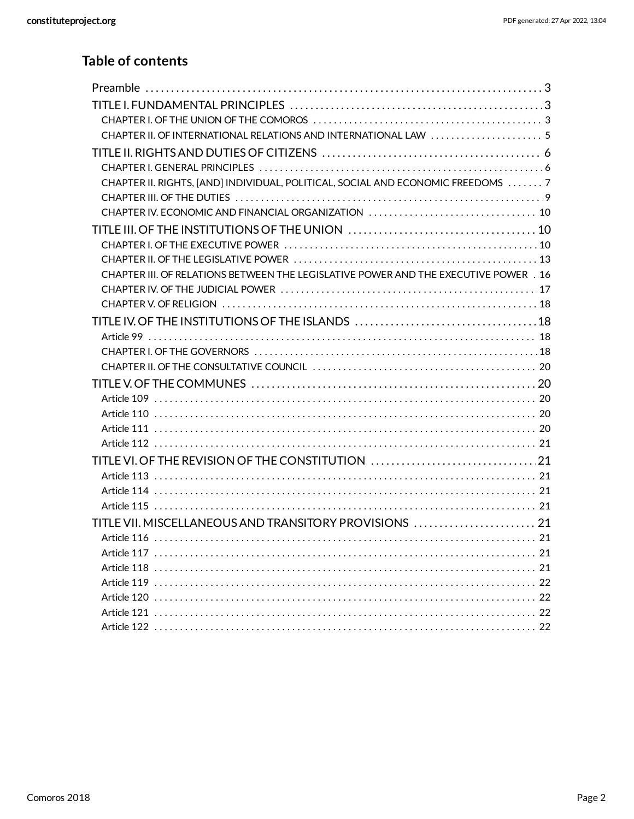# **Table of contents**

| CHAPTER II. OF INTERNATIONAL RELATIONS AND INTERNATIONAL LAW 5                       |  |
|--------------------------------------------------------------------------------------|--|
|                                                                                      |  |
|                                                                                      |  |
| CHAPTER II. RIGHTS, [AND] INDIVIDUAL, POLITICAL, SOCIAL AND ECONOMIC FREEDOMS 7      |  |
|                                                                                      |  |
|                                                                                      |  |
|                                                                                      |  |
|                                                                                      |  |
|                                                                                      |  |
| CHAPTER III. OF RELATIONS BETWEEN THE LEGISLATIVE POWER AND THE EXECUTIVE POWER . 16 |  |
|                                                                                      |  |
|                                                                                      |  |
|                                                                                      |  |
|                                                                                      |  |
|                                                                                      |  |
|                                                                                      |  |
|                                                                                      |  |
|                                                                                      |  |
|                                                                                      |  |
|                                                                                      |  |
|                                                                                      |  |
| TITLE VI. OF THE REVISION OF THE CONSTITUTION 21                                     |  |
|                                                                                      |  |
|                                                                                      |  |
|                                                                                      |  |
| TITLE VII. MISCELLANEOUS AND TRANSITORY PROVISIONS  21                               |  |
|                                                                                      |  |
|                                                                                      |  |
|                                                                                      |  |
|                                                                                      |  |
|                                                                                      |  |
|                                                                                      |  |
|                                                                                      |  |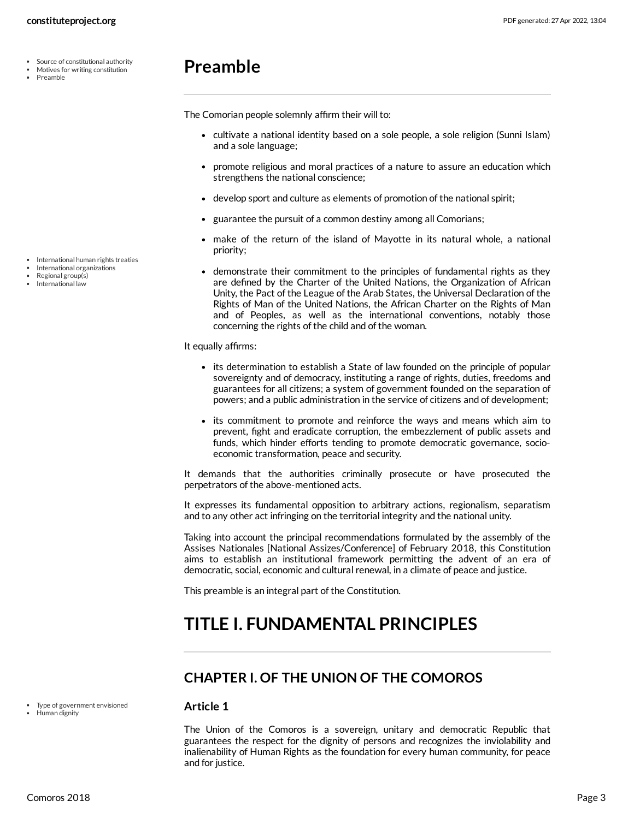- Source of constitutional authority
- Motives for writing constitution
- Preamble

# <span id="page-2-0"></span>**Preamble**

The Comorian people solemnly affirm their will to:

- cultivate a national identity based on a sole people, a sole religion (Sunni Islam) and a sole language;
- promote religious and moral practices of a nature to assure an education which strengthens the national conscience;
- develop sport and culture as elements of promotion of the national spirit;
- guarantee the pursuit of a common destiny among all Comorians;
- make of the return of the island of Mayotte in its natural whole, a national priority;
- <span id="page-2-4"></span>demonstrate their commitment to the principles of fundamental rights as they are defined by the Charter of the United Nations, the Organization of African Unity, the Pact of the League of the Arab States, the Universal Declaration of the Rights of Man of the United Nations, the African Charter on the Rights of Man and of Peoples, as well as the international conventions, notably those concerning the rights of the child and of the woman.

It equally affirms:

- its determination to establish a State of law founded on the principle of popular sovereignty and of democracy, instituting a range of rights, duties, freedoms and guarantees for all citizens; a system of government founded on the separation of powers; and a public administration in the service of citizens and of development;
- its commitment to promote and reinforce the ways and means which aim to prevent, fight and eradicate corruption, the embezzlement of public assets and funds, which hinder efforts tending to promote democratic governance, socioeconomic transformation, peace and security.

It demands that the authorities criminally prosecute or have prosecuted the perpetrators of the above-mentioned acts.

It expresses its fundamental opposition to arbitrary actions, regionalism, separatism and to any other act infringing on the territorial integrity and the national unity.

Taking into account the principal recommendations formulated by the assembly of the Assises Nationales [National Assizes/Conference] of February 2018, this Constitution aims to establish an institutional framework permitting the advent of an era of democratic, social, economic and cultural renewal, in a climate of peace and justice.

This preamble is an integral part of the Constitution.

# <span id="page-2-1"></span>**TITLE I. FUNDAMENTAL PRINCIPLES**

# <span id="page-2-2"></span>**CHAPTER I. OF THE UNION OF THE COMOROS**

#### **Article 1**

<span id="page-2-3"></span>The Union of the Comoros is a sovereign, unitary and democratic Republic that guarantees the respect for the dignity of persons and recognizes the inviolability and inalienability of Human Rights as the foundation for every human community, for peace and for justice.

• International human rights treaties

- International organizations
- Regional group(s) International law

Human dignity

Type of government envisioned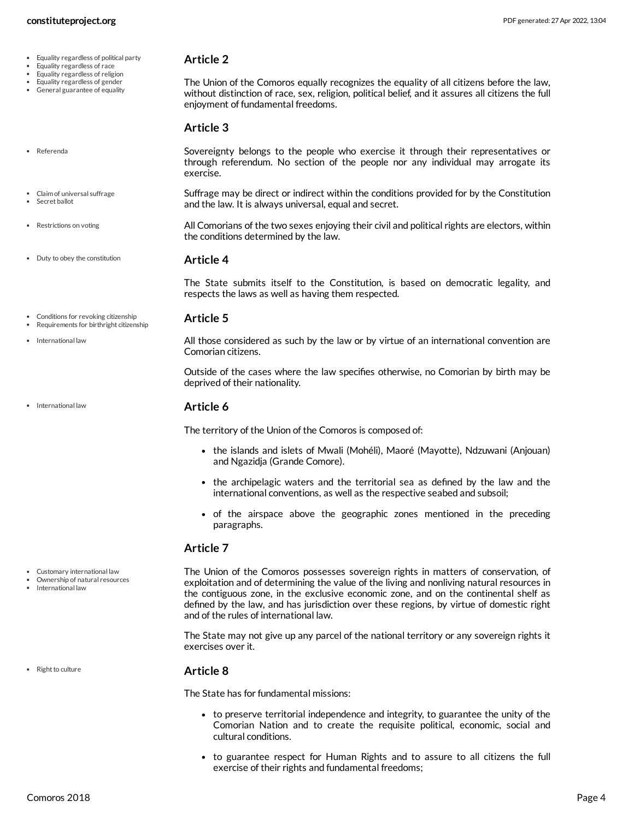- Equality regardless of political party
- Equality regardless of race
- Equality regardless of religion

Referenda

• Restrictions on voting

• International law

International law

- Equality regardless of gender
- General guarantee of equality

#### <span id="page-3-4"></span>**Article 2**

The Union of the Comoros equally recognizes the equality of all citizens before the law, without distinction of race, sex, religion, political belief, and it assures all citizens the full enjoyment of fundamental freedoms.

#### <span id="page-3-6"></span>**Article 3**

<span id="page-3-0"></span>Sovereignty belongs to the people who exercise it through their representatives or through referendum. No section of the people nor any individual may arrogate its exercise.

- Suffrage may be direct or indirect within the conditions provided for by the Constitution and the law. It is always universal, equal and secret. Claim of universal suffrage Secret ballot
	- All Comorians of the two sexes enjoying their civil and political rights are electors, within the conditions determined by the law.
- Duty to obey the constitution

#### <span id="page-3-7"></span><span id="page-3-3"></span>**Article 4**

The State submits itself to the Constitution, is based on democratic legality, and respects the laws as well as having them respected.

- Conditions for revoking citizenship Requirements for birthright citizenship
- <span id="page-3-1"></span>**Article 5**

<span id="page-3-5"></span>All those considered as such by the law or by virtue of an international convention are Comorian citizens.

Outside of the cases where the law specifies otherwise, no Comorian by birth may be deprived of their nationality.

#### **Article 6**

The territory of the Union of the Comoros is composed of:

- the islands and islets of Mwali (Mohéli), Maoré (Mayotte), Ndzuwani (Anjouan) and Ngazidja (Grande Comore).
- the archipelagic waters and the territorial sea as defined by the law and the international conventions, as well as the respective seabed and subsoil;
- of the airspace above the geographic zones mentioned in the preceding paragraphs.

#### **Article 7**

<span id="page-3-2"></span>The Union of the Comoros possesses sovereign rights in matters of conservation, of exploitation and of determining the value of the living and nonliving natural resources in the contiguous zone, in the exclusive economic zone, and on the continental shelf as defined by the law, and has jurisdiction over these regions, by virtue of domestic right and of the rules of international law.

The State may not give up any parcel of the national territory or any sovereign rights it exercises over it.

#### <span id="page-3-8"></span>**Article 8**

The State has for fundamental missions:

- to preserve territorial independence and integrity, to guarantee the unity of the Comorian Nation and to create the requisite political, economic, social and cultural conditions.
- to guarantee respect for Human Rights and to assure to all citizens the full exercise of their rights and fundamental freedoms;

- 
- Customary international law
- Ownership of natural resources International law

• Right to culture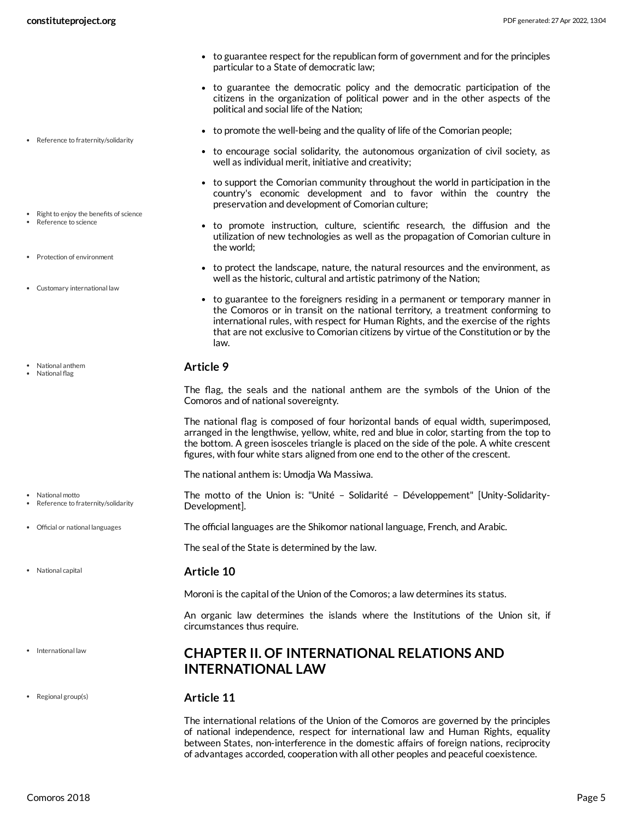- to guarantee respect for the republican form of government and for the principles particular to a State of democratic law;
- to guarantee the democratic policy and the democratic participation of the citizens in the organization of political power and in the other aspects of the political and social life of the Nation;
- to promote the well-being and the quality of life of the Comorian people;
- <span id="page-4-7"></span>to encourage social solidarity, the autonomous organization of civil society, as well as individual merit, initiative and creativity;
- to support the Comorian community throughout the world in participation in the country's economic development and to favor within the country the preservation and development of Comorian culture;
- <span id="page-4-8"></span>to promote instruction, culture, scientific research, the diffusion and the utilization of new technologies as well as the propagation of Comorian culture in the world;
- <span id="page-4-6"></span>to protect the landscape, nature, the natural resources and the environment, as well as the historic, cultural and artistic patrimony of the Nation;
- <span id="page-4-1"></span>• to guarantee to the foreigners residing in a permanent or temporary manner in the Comoros or in transit on the national territory, a treatment conforming to international rules, with respect for Human Rights, and the exercise of the rights that are not exclusive to Comorian citizens by virtue of the Constitution or by the law.

<span id="page-4-2"></span>The flag, the seals and the national anthem are the symbols of the Union of the Comoros and of national sovereignty.

The national flag is composed of four horizontal bands of equal width, superimposed, arranged in the lengthwise, yellow, white, red and blue in color, starting from the top to the bottom. A green isosceles triangle is placed on the side of the pole. A white crescent figures, with four white stars aligned from one end to the other of the crescent.

The national anthem is: Umodja Wa Massiwa.

<span id="page-4-4"></span>The motto of the Union is: "Unité – Solidarité – Développement" [Unity-Solidarity-Development].

<span id="page-4-5"></span>The official languages are the Shikomor national language, French, and Arabic.

The seal of the State is determined by the law.

#### <span id="page-4-3"></span>**Article 10**

Moroni is the capital of the Union of the Comoros; a law determines its status.

An organic law determines the islands where the Institutions of the Union sit, if circumstances thus require.

# <span id="page-4-0"></span>**CHAPTER II. OF INTERNATIONAL RELATIONS AND INTERNATIONAL LAW**

#### <span id="page-4-9"></span>**Article 11**

The international relations of the Union of the Comoros are governed by the principles of national independence, respect for international law and Human Rights, equality between States, non-interference in the domestic affairs of foreign nations, reciprocity of advantages accorded, cooperation with all other peoples and peaceful coexistence.

Right to enjoy the benefits of science Reference to science

• Reference to fraternity/solidarity

- Protection of environment
- Customary international law
- National anthem
- National flag

Reference to fraternity/solidarity

National motto

- Official or national languages
- National capital
- International law
- Regional group(s)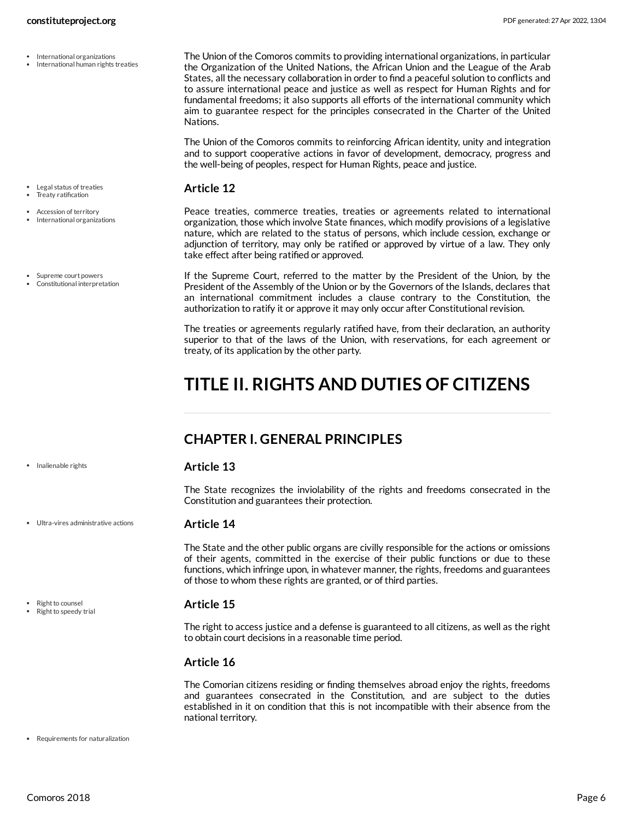- International organizations
- International human rights treaties

- Legal status of treaties Treaty ratification
- 
- Accession of territory • International organizations
- Supreme court powers Constitutional interpretation

· Inalienable rights

Ultra-vires administrative actions

• Right to counsel

Right to speedy trial

<span id="page-5-5"></span>The Union of the Comoros commits to providing international organizations, in particular the Organization of the United Nations, the African Union and the League of the Arab States, all the necessary collaboration in order to find a peaceful solution to conflicts and to assure international peace and justice as well as respect for Human Rights and for fundamental freedoms; it also supports all efforts of the international community which aim to guarantee respect for the principles consecrated in the Charter of the United Nations.

The Union of the Comoros commits to reinforcing African identity, unity and integration and to support cooperative actions in favor of development, democracy, progress and the well-being of peoples, respect for Human Rights, peace and justice.

#### <span id="page-5-6"></span>**Article 12**

<span id="page-5-2"></span>Peace treaties, commerce treaties, treaties or agreements related to international organization, those which involve State finances, which modify provisions of a legislative nature, which are related to the status of persons, which include cession, exchange or adjunction of territory, may only be ratified or approved by virtue of a law. They only take effect after being ratified or approved.

<span id="page-5-3"></span>If the Supreme Court, referred to the matter by the President of the Union, by the President of the Assembly of the Union or by the Governors of the Islands, declares that an international commitment includes a clause contrary to the Constitution, the authorization to ratify it or approve it may only occur after Constitutional revision.

The treaties or agreements regularly ratified have, from their declaration, an authority superior to that of the laws of the Union, with reservations, for each agreement or treaty, of its application by the other party.

# <span id="page-5-0"></span>**TITLE II. RIGHTS AND DUTIES OF CITIZENS**

# <span id="page-5-1"></span>**CHAPTER I. GENERAL PRINCIPLES**

#### <span id="page-5-4"></span>**Article 13**

The State recognizes the inviolability of the rights and freedoms consecrated in the Constitution and guarantees their protection.

#### <span id="page-5-9"></span>**Article 14**

The State and the other public organs are civilly responsible for the actions or omissions of their agents, committed in the exercise of their public functions or due to these functions, which infringe upon, in whatever manner, the rights, freedoms and guarantees of those to whom these rights are granted, or of third parties.

#### <span id="page-5-8"></span>**Article 15**

The right to access justice and a defense is guaranteed to all citizens, as well as the right to obtain court decisions in a reasonable time period.

### **Article 16**

<span id="page-5-7"></span>The Comorian citizens residing or finding themselves abroad enjoy the rights, freedoms and guarantees consecrated in the Constitution, and are subject to the duties established in it on condition that this is not incompatible with their absence from the national territory.

• Requirements for naturalization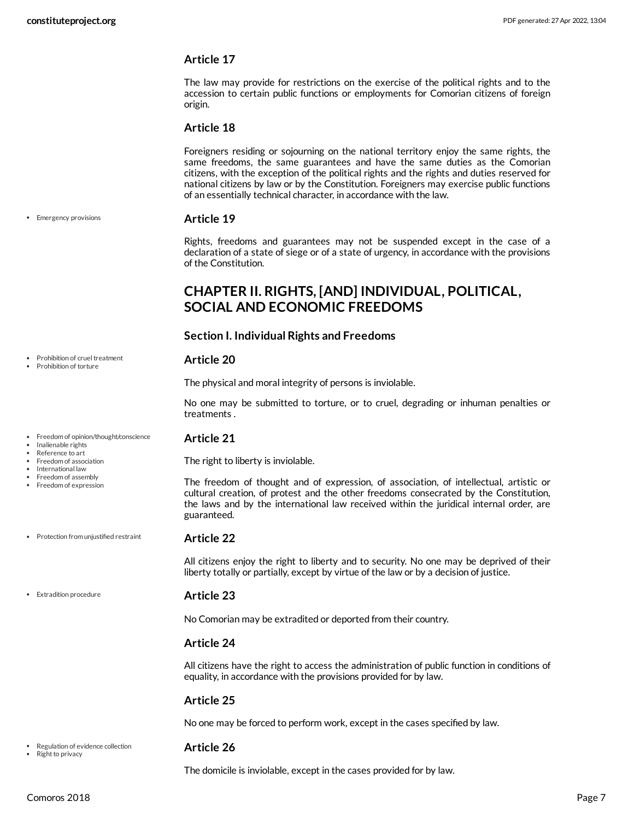The law may provide for restrictions on the exercise of the political rights and to the accession to certain public functions or employments for Comorian citizens of foreign origin.

#### **Article 18**

Foreigners residing or sojourning on the national territory enjoy the same rights, the same freedoms, the same guarantees and have the same duties as the Comorian citizens, with the exception of the political rights and the rights and duties reserved for national citizens by law or by the Constitution. Foreigners may exercise public functions of an essentially technical character, in accordance with the law.

#### <span id="page-6-1"></span>**Article 19**

Rights, freedoms and guarantees may not be suspended except in the case of a declaration of a state of siege or of a state of urgency, in accordance with the provisions of the Constitution.

# <span id="page-6-0"></span>**CHAPTER II. RIGHTS, [AND] INDIVIDUAL, POLITICAL, SOCIAL AND ECONOMIC FREEDOMS**

#### **Section I. Individual Rights and Freedoms**

#### <span id="page-6-4"></span>**Article 20**

The physical and moral integrity of persons is inviolable.

No one may be submitted to torture, or to cruel, degrading or inhuman penalties or treatments .

#### <span id="page-6-3"></span>**Article 21**

The right to liberty is inviolable.

The freedom of thought and of expression, of association, of intellectual, artistic or cultural creation, of protest and the other freedoms consecrated by the Constitution, the laws and by the international law received within the juridical internal order, are guaranteed.

#### **Article 22**

<span id="page-6-5"></span>All citizens enjoy the right to liberty and to security. No one may be deprived of their liberty totally or partially, except by virtue of the law or by a decision of justice.

<span id="page-6-2"></span>**Article 23**

No Comorian may be extradited or deported from their country.

#### **Article 24**

All citizens have the right to access the administration of public function in conditions of equality, in accordance with the provisions provided for by law.

#### **Article 25**

No one may be forced to perform work, except in the cases specified by law.

- <span id="page-6-6"></span>**Article 26**
	- The domicile is inviolable, except in the cases provided for by law.

• Emergency provisions

- Prohibition of cruel treatment Prohibition of torture
- Freedom of opinion/thought/conscience
- Inalienable rights
- Reference to art Freedom of association
- International law
- Freedom of assembly
- Freedom of expression
- Protection from unjustified restraint
- Extradition procedure

• Right to privacy

Regulation of evidence collection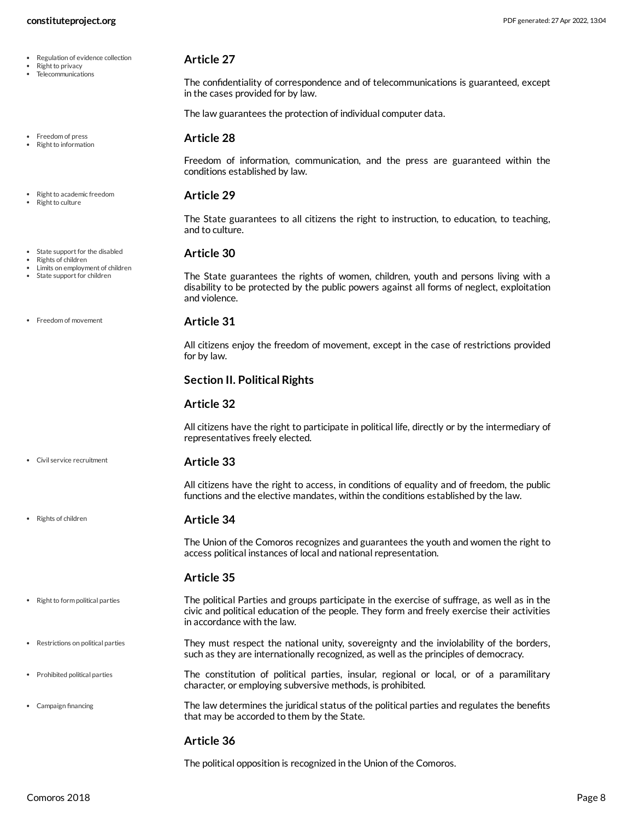- Regulation of evidence collection
- Right to privacy
- Telecommunications

Freedom of press Right to information

#### Right to academic freedom

Right to culture

#### • State support for the disabled

- Rights of children
- Limits on employment of children State support for children

• Freedom of movement

#### Civil service recruitment

• Rights of children

<span id="page-7-1"></span>**Article 33**

All citizens have the right to access, in conditions of equality and of freedom, the public functions and the elective mandates, within the conditions established by the law.

#### **Article 34**

The Union of the Comoros recognizes and guarantees the youth and women the right to access political instances of local and national representation.

#### <span id="page-7-9"></span><span id="page-7-7"></span>**Article 35**

- The political Parties and groups participate in the exercise of suffrage, as well as in the civic and political education of the people. They form and freely exercise their activities in accordance with the law.  $\bullet$  Right to form political parties
- They must respect the national unity, sovereignty and the inviolability of the borders, such as they are internationally recognized, as well as the principles of democracy. Restrictions on political parties
- The constitution of political parties, insular, regional or local, or of a paramilitary character, or employing subversive methods, is prohibited. Prohibited political parties
	- The law determines the juridical status of the political parties and regulates the benefits that may be accorded to them by the State.

#### <span id="page-7-5"></span><span id="page-7-0"></span>**Article 36**

The political opposition is recognized in the Union of the Comoros.

Campaign financing

Freedom of information, communication, and the press are guaranteed within the conditions established by law.

The confidentiality of correspondence and of telecommunications is guaranteed, except

The law guarantees the protection of individual computer data.

#### <span id="page-7-8"></span>**Article 29**

<span id="page-7-3"></span>**Article 28**

<span id="page-7-6"></span>**Article 27**

in the cases provided for by law.

The State guarantees to all citizens the right to instruction, to education, to teaching, and to culture.

#### <span id="page-7-4"></span>**Article 30**

The State guarantees the rights of women, children, youth and persons living with a disability to be protected by the public powers against all forms of neglect, exploitation and violence.

#### <span id="page-7-2"></span>**Article 31**

All citizens enjoy the freedom of movement, except in the case of restrictions provided for by law.

#### **Section II. Political Rights**

#### **Article 32**

All citizens have the right to participate in political life, directly or by the intermediary of representatives freely elected.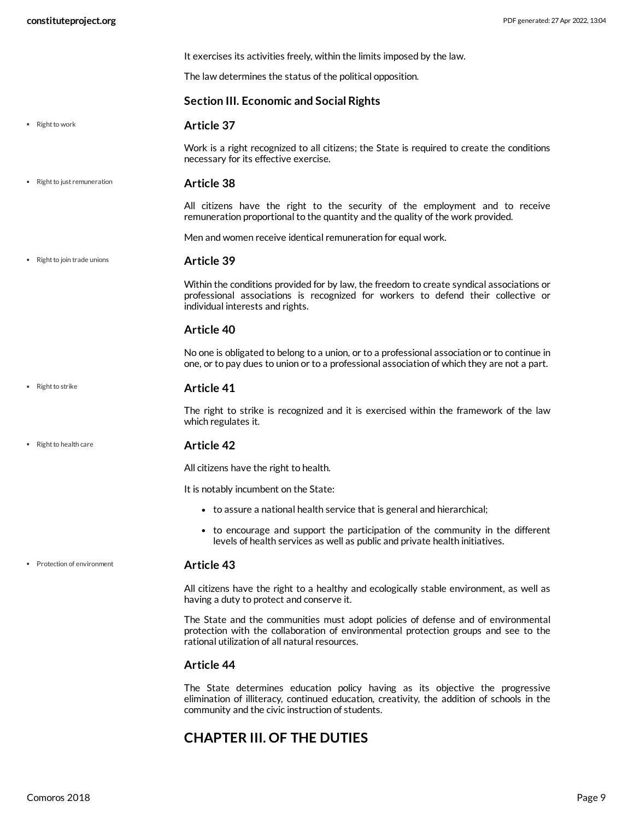<span id="page-8-6"></span><span id="page-8-4"></span><span id="page-8-3"></span>

|                              | It exercises its activities freely, within the limits imposed by the law.                                                                                                                                                  |
|------------------------------|----------------------------------------------------------------------------------------------------------------------------------------------------------------------------------------------------------------------------|
|                              | The law determines the status of the political opposition.                                                                                                                                                                 |
|                              | <b>Section III. Economic and Social Rights</b>                                                                                                                                                                             |
| • Right to work              | Article 37                                                                                                                                                                                                                 |
|                              | Work is a right recognized to all citizens; the State is required to create the conditions<br>necessary for its effective exercise.                                                                                        |
| • Right to just remuneration | <b>Article 38</b>                                                                                                                                                                                                          |
|                              | All citizens have the right to the security of the employment and to receive<br>remuneration proportional to the quantity and the quality of the work provided.                                                            |
|                              | Men and women receive identical remuneration for equal work.                                                                                                                                                               |
| • Right to join trade unions | Article 39                                                                                                                                                                                                                 |
|                              | Within the conditions provided for by law, the freedom to create syndical associations or<br>professional associations is recognized for workers to defend their collective or<br>individual interests and rights.         |
|                              | <b>Article 40</b>                                                                                                                                                                                                          |
|                              | No one is obligated to belong to a union, or to a professional association or to continue in<br>one, or to pay dues to union or to a professional association of which they are not a part.                                |
| • Right to strike            | <b>Article 41</b>                                                                                                                                                                                                          |
|                              | The right to strike is recognized and it is exercised within the framework of the law<br>which regulates it.                                                                                                               |
| • Right to health care       | <b>Article 42</b>                                                                                                                                                                                                          |
|                              | All citizens have the right to health.                                                                                                                                                                                     |
|                              | It is notably incumbent on the State:                                                                                                                                                                                      |
|                              | • to assure a national health service that is general and hierarchical;                                                                                                                                                    |
|                              | • to encourage and support the participation of the community in the different<br>levels of health services as well as public and private health initiatives.                                                              |
| • Protection of environment  | <b>Article 43</b>                                                                                                                                                                                                          |
|                              | All citizens have the right to a healthy and ecologically stable environment, as well as<br>having a duty to protect and conserve it.                                                                                      |
|                              | The State and the communities must adopt policies of defense and of environmental<br>protection with the collaboration of environmental protection groups and see to the<br>rational utilization of all natural resources. |
|                              | <b>Article 44</b>                                                                                                                                                                                                          |
|                              | The State determines education policy having as its objective the progressive                                                                                                                                              |

# <span id="page-8-0"></span>**CHAPTER III. OF THE DUTIES**

community and the civic instruction of students.

<span id="page-8-5"></span><span id="page-8-2"></span><span id="page-8-1"></span>elimination of illiteracy, continued education, creativity, the addition of schools in the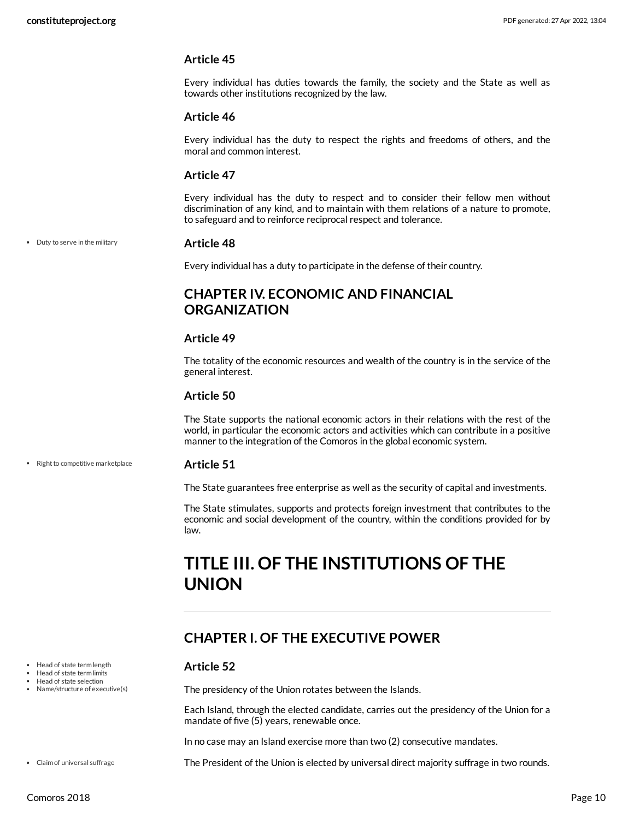Every individual has duties towards the family, the society and the State as well as towards other institutions recognized by the law.

#### **Article 46**

Every individual has the duty to respect the rights and freedoms of others, and the moral and common interest.

#### **Article 47**

Every individual has the duty to respect and to consider their fellow men without discrimination of any kind, and to maintain with them relations of a nature to promote, to safeguard and to reinforce reciprocal respect and tolerance.

• Duty to serve in the military

#### <span id="page-9-4"></span>**Article 48**

Every individual has a duty to participate in the defense of their country.

# <span id="page-9-0"></span>**CHAPTER IV. ECONOMIC AND FINANCIAL ORGANIZATION**

#### **Article 49**

The totality of the economic resources and wealth of the country is in the service of the general interest.

#### **Article 50**

The State supports the national economic actors in their relations with the rest of the world, in particular the economic actors and activities which can contribute in a positive manner to the integration of the Comoros in the global economic system.

• Right to competitive marketplace

#### <span id="page-9-6"></span>**Article 51**

The State guarantees free enterprise as well as the security of capital and investments.

The State stimulates, supports and protects foreign investment that contributes to the economic and social development of the country, within the conditions provided for by law.

# <span id="page-9-1"></span>**TITLE III. OF THE INSTITUTIONS OF THE UNION**

# <span id="page-9-2"></span>**CHAPTER I. OF THE EXECUTIVE POWER**

#### <span id="page-9-5"></span>**Article 52**

The presidency of the Union rotates between the Islands.

Each Island, through the elected candidate, carries out the presidency of the Union for a mandate of five (5) years, renewable once.

In no case may an Island exercise more than two (2) consecutive mandates.

<span id="page-9-3"></span>The President of the Union is elected by universal direct majority suffrage in two rounds.

- Head of state term length
- Head of state term limits
- Head of state selection Name/structure of executive(s)

Claim of universal suffrage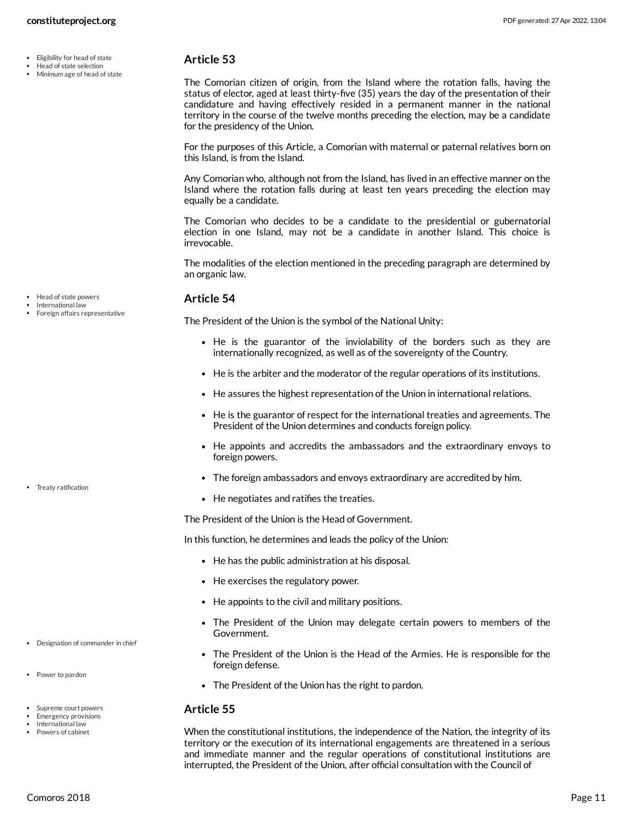Head of state selection Minimum age of head of state

### <span id="page-10-1"></span>**Article 53**

The Comorian citizen of origin, from the Island where the rotation falls, having the status of elector, aged at least thirty-five (35) years the day of the presentation of their candidature and having effectively resided in a permanent manner in the national territory in the course of the twelve months preceding the election, may be a candidate for the presidency of the Union.

For the purposes of this Article, a Comorian with maternal or paternal relatives born on this Island, is from the Island.

Any Comorian who, although not from the Island, has lived in an effective manner on the Island where the rotation falls during at least ten years preceding the election may equally be a candidate.

The Comorian who decides to be a candidate to the presidential or gubernatorial election in one Island, may not be a candidate in another Island. This choice is irrevocable.

The modalities of the election mentioned in the preceding paragraph are determined by an organic law.

### <span id="page-10-3"></span>**Article 54**

The President of the Union is the symbol of the National Unity:

- He is the guarantor of the inviolability of the borders such as they are internationally recognized, as well as of the sovereignty of the Country.
- He is the arbiter and the moderator of the regular operations of its institutions.
- He assures the highest representation of the Union in international relations.
- He is the guarantor of respect for the international treaties and agreements. The President of the Union determines and conducts foreign policy.
- He appoints and accredits the ambassadors and the extraordinary envoys to foreign powers.
- The foreign ambassadors and envoys extraordinary are accredited by him.
- <span id="page-10-5"></span>• He negotiates and ratifies the treaties.

The President of the Union is the Head of Government.

In this function, he determines and leads the policy of the Union:

- He has the public administration at his disposal.
- He exercises the regulatory power.
- He appoints to the civil and military positions.
- The President of the Union may delegate certain powers to members of the Government.
- <span id="page-10-0"></span>The President of the Union is the Head of the Armies. He is responsible for the foreign defense.
- <span id="page-10-4"></span>• The President of the Union has the right to pardon.

#### <span id="page-10-2"></span>**Article 55**

When the constitutional institutions, the independence of the Nation, the integrity of its territory or the execution of its international engagements are threatened in a serious and immediate manner and the regular operations of constitutional institutions are interrupted, the President of the Union, after official consultation with the Council of

• Treaty ratification

• Head of state powers International law Foreign affairs representative

- Designation of commander in chief
- Power to pardon
- Supreme court powers
- Emergency provisions International law
- Powers of cabinet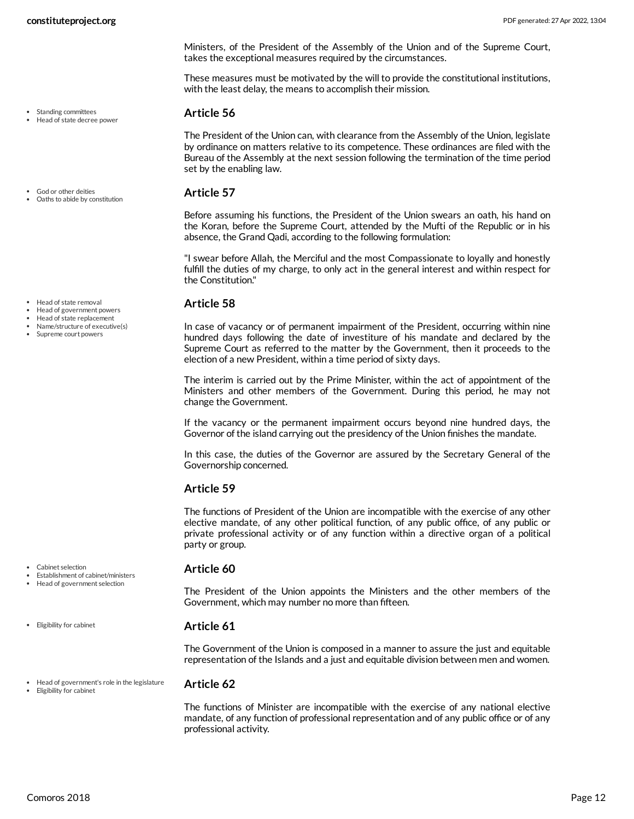Standing committees Head of state decree power

God or other deities Oaths to abide by constitution

**constituteproject.org** PDF generated: 27 Apr 2022, 13:04

Ministers, of the President of the Assembly of the Union and of the Supreme Court, takes the exceptional measures required by the circumstances.

These measures must be motivated by the will to provide the constitutional institutions, with the least delay, the means to accomplish their mission.

#### <span id="page-11-5"></span>**Article 56**

The President of the Union can, with clearance from the Assembly of the Union, legislate by ordinance on matters relative to its competence. These ordinances are filed with the Bureau of the Assembly at the next session following the termination of the time period set by the enabling law.

#### <span id="page-11-2"></span>**Article 57**

Before assuming his functions, the President of the Union swears an oath, his hand on the Koran, before the Supreme Court, attended by the Mufti of the Republic or in his absence, the Grand Qadi, according to the following formulation:

"I swear before Allah, the Merciful and the most Compassionate to loyally and honestly fulfill the duties of my charge, to only act in the general interest and within respect for the Constitution."

#### <span id="page-11-3"></span>**Article 58**

In case of vacancy or of permanent impairment of the President, occurring within nine hundred days following the date of investiture of his mandate and declared by the Supreme Court as referred to the matter by the Government, then it proceeds to the election of a new President, within a time period of sixty days.

The interim is carried out by the Prime Minister, within the act of appointment of the Ministers and other members of the Government. During this period, he may not change the Government.

If the vacancy or the permanent impairment occurs beyond nine hundred days, the Governor of the island carrying out the presidency of the Union finishes the mandate.

In this case, the duties of the Governor are assured by the Secretary General of the Governorship concerned.

### **Article 59**

The functions of President of the Union are incompatible with the exercise of any other elective mandate, of any other political function, of any public office, of any public or private professional activity or of any function within a directive organ of a political party or group.

#### <span id="page-11-0"></span>**Article 60**

The President of the Union appoints the Ministers and the other members of the Government, which may number no more than fifteen.

#### <span id="page-11-1"></span>**Article 61**

The Government of the Union is composed in a manner to assure the just and equitable representation of the Islands and a just and equitable division between men and women.

Head of government's role in the legislature Eligibility for cabinet

#### <span id="page-11-4"></span>**Article 62**

The functions of Minister are incompatible with the exercise of any national elective mandate, of any function of professional representation and of any public office or of any professional activity.

Head of state removal

- Head of government powers
- Head of state replacement
- Name/structure of executive(s) • Supreme court powers

- Cabinet selection
- Establishment of cabinet/ministers Head of government selection
- 
- Eligibility for cabinet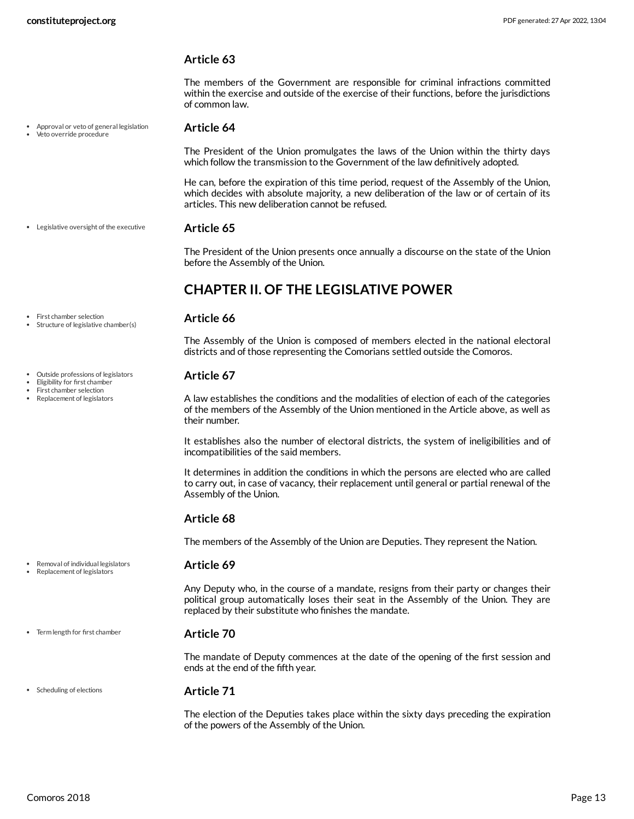The members of the Government are responsible for criminal infractions committed within the exercise and outside of the exercise of their functions, before the jurisdictions of common law.

#### Approval or veto of general legislation Veto override procedure

First chamber selection Structure of legislative chamber(s)

Outside professions of legislators Eligibility for first chamber First chamber selection Replacement of legislators

#### <span id="page-12-1"></span>**Article 64**

The President of the Union promulgates the laws of the Union within the thirty days which follow the transmission to the Government of the law definitively adopted.

He can, before the expiration of this time period, request of the Assembly of the Union, which decides with absolute majority, a new deliberation of the law or of certain of its articles. This new deliberation cannot be refused.

#### **Article 65** Legislative oversight of the executive

<span id="page-12-4"></span>The President of the Union presents once annually a discourse on the state of the Union before the Assembly of the Union.

# <span id="page-12-0"></span>**CHAPTER II. OF THE LEGISLATIVE POWER**

#### <span id="page-12-3"></span>**Article 66**

The Assembly of the Union is composed of members elected in the national electoral districts and of those representing the Comorians settled outside the Comoros.

#### <span id="page-12-2"></span>**Article 67**

A law establishes the conditions and the modalities of election of each of the categories of the members of the Assembly of the Union mentioned in the Article above, as well as their number.

It establishes also the number of electoral districts, the system of ineligibilities and of incompatibilities of the said members.

It determines in addition the conditions in which the persons are elected who are called to carry out, in case of vacancy, their replacement until general or partial renewal of the Assembly of the Union.

#### **Article 68**

<span id="page-12-5"></span>The members of the Assembly of the Union are Deputies. They represent the Nation.

#### **Article 69**

Any Deputy who, in the course of a mandate, resigns from their party or changes their political group automatically loses their seat in the Assembly of the Union. They are replaced by their substitute who finishes the mandate.

#### <span id="page-12-7"></span>**Article 70**

The mandate of Deputy commences at the date of the opening of the first session and ends at the end of the fifth year.

#### • Scheduling of elections

Term length for first chamber

Removal of individual legislators Replacement of legislators

#### <span id="page-12-6"></span>**Article 71**

The election of the Deputies takes place within the sixty days preceding the expiration of the powers of the Assembly of the Union.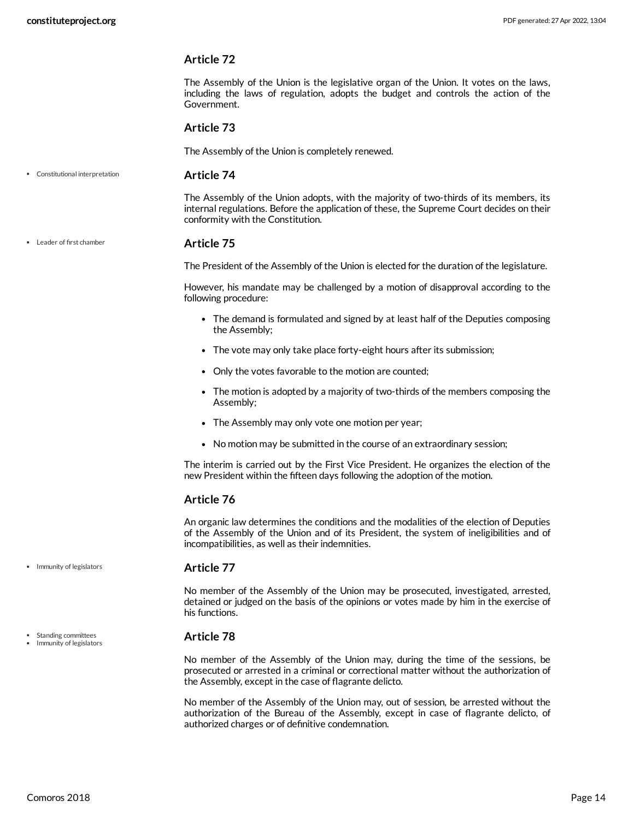The Assembly of the Union is the legislative organ of the Union. It votes on the laws, including the laws of regulation, adopts the budget and controls the action of the Government.

#### **Article 73**

The Assembly of the Union is completely renewed.

Constitutional interpretation

#### <span id="page-13-0"></span>**Article 74**

The Assembly of the Union adopts, with the majority of two-thirds of its members, its internal regulations. Before the application of these, the Supreme Court decides on their conformity with the Constitution.

#### Leader of first chamber

#### <span id="page-13-2"></span>**Article 75**

The President of the Assembly of the Union is elected for the duration of the legislature.

However, his mandate may be challenged by a motion of disapproval according to the following procedure:

- The demand is formulated and signed by at least half of the Deputies composing the Assembly;
- The vote may only take place forty-eight hours after its submission;
- Only the votes favorable to the motion are counted;
- The motion is adopted by a majority of two-thirds of the members composing the Assembly;
- The Assembly may only vote one motion per year;
- No motion may be submitted in the course of an extraordinary session;

The interim is carried out by the First Vice President. He organizes the election of the new President within the fifteen days following the adoption of the motion.

#### **Article 76**

An organic law determines the conditions and the modalities of the election of Deputies of the Assembly of the Union and of its President, the system of ineligibilities and of incompatibilities, as well as their indemnities.

#### <span id="page-13-1"></span>**Article 77**

No member of the Assembly of the Union may be prosecuted, investigated, arrested, detained or judged on the basis of the opinions or votes made by him in the exercise of his functions.

#### <span id="page-13-3"></span>**Article 78**

No member of the Assembly of the Union may, during the time of the sessions, be prosecuted or arrested in a criminal or correctional matter without the authorization of the Assembly, except in the case of flagrante delicto.

No member of the Assembly of the Union may, out of session, be arrested without the authorization of the Bureau of the Assembly, except in case of flagrante delicto, of authorized charges or of definitive condemnation.

• Immunity of legislators

Standing committees

Immunity of legislators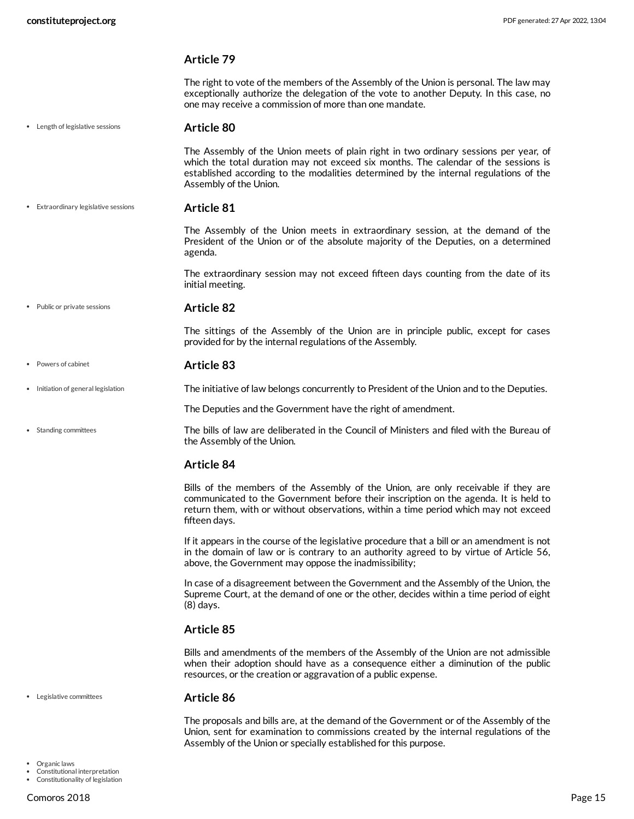<span id="page-14-4"></span> $\ddot{\phantom{0}}$ 

<span id="page-14-1"></span> $\bullet$ 

<span id="page-14-7"></span><span id="page-14-6"></span><span id="page-14-5"></span><span id="page-14-2"></span> $\ddot{\phantom{0}}$ 

| constituteproject.org                | PDF generated: 27 Apr 2022, 13:04                                                                                                                                                                                                                                                              |
|--------------------------------------|------------------------------------------------------------------------------------------------------------------------------------------------------------------------------------------------------------------------------------------------------------------------------------------------|
|                                      | <b>Article 79</b>                                                                                                                                                                                                                                                                              |
|                                      | The right to vote of the members of the Assembly of the Union is personal. The law may<br>exceptionally authorize the delegation of the vote to another Deputy. In this case, no<br>one may receive a commission of more than one mandate.                                                     |
| • Length of legislative sessions     | Article 80                                                                                                                                                                                                                                                                                     |
|                                      | The Assembly of the Union meets of plain right in two ordinary sessions per year, of<br>which the total duration may not exceed six months. The calendar of the sessions is<br>established according to the modalities determined by the internal regulations of the<br>Assembly of the Union. |
| • Extraordinary legislative sessions | Article 81                                                                                                                                                                                                                                                                                     |
|                                      | The Assembly of the Union meets in extraordinary session, at the demand of the<br>President of the Union or of the absolute majority of the Deputies, on a determined<br>agenda.                                                                                                               |
|                                      | The extraordinary session may not exceed fifteen days counting from the date of its<br>initial meeting.                                                                                                                                                                                        |
| • Public or private sessions         | <b>Article 82</b>                                                                                                                                                                                                                                                                              |
|                                      | The sittings of the Assembly of the Union are in principle public, except for cases<br>provided for by the internal regulations of the Assembly.                                                                                                                                               |
| • Powers of cabinet                  | Article 83                                                                                                                                                                                                                                                                                     |
| • Initiation of general legislation  | The initiative of law belongs concurrently to President of the Union and to the Deputies.                                                                                                                                                                                                      |
|                                      | The Deputies and the Government have the right of amendment.                                                                                                                                                                                                                                   |
| • Standing committees                | The bills of law are deliberated in the Council of Ministers and filed with the Bureau of<br>the Assembly of the Union.                                                                                                                                                                        |
|                                      | <b>Article 84</b>                                                                                                                                                                                                                                                                              |
|                                      | Bills of the members of the Assembly of the Union, are only receivable if they are<br>communicated to the Government before their inscription on the agenda. It is held to<br>return them, with or without observations, within a time period which may not exceed<br>fifteen days.            |
|                                      | If it appears in the course of the legislative procedure that a bill or an amendment is not<br>in the domain of law or is contrary to an authority agreed to by virtue of Article 56,<br>above, the Government may oppose the inadmissibility;                                                 |
|                                      | In case of a disagreement between the Government and the Assembly of the Union, the<br>Supreme Court, at the demand of one or the other, decides within a time period of eight<br>$(8)$ days.                                                                                                  |
|                                      | <b>Article 85</b>                                                                                                                                                                                                                                                                              |
|                                      | Bills and amendments of the members of the Assembly of the Union are not admissible<br>when their adoption should have as a consequence either a diminution of the public<br>resources, or the creation or aggravation of a public expense.                                                    |
| • Legislative committees             | Article 86                                                                                                                                                                                                                                                                                     |
|                                      |                                                                                                                                                                                                                                                                                                |

<span id="page-14-3"></span><span id="page-14-0"></span>The proposals and bills are, at the demand of the Government or of the Assembly of the Union, sent for examination to commissions created by the internal regulations of the Assembly of the Union or specially established for this purpose.

 $\bullet$ 

Organic laws Constitutional interpretation Constitutionality of legislation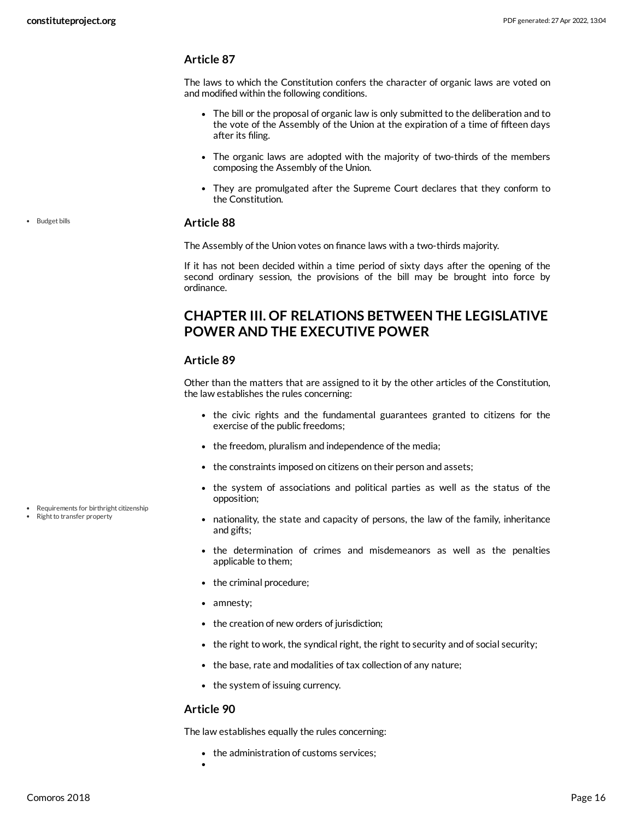The laws to which the Constitution confers the character of organic laws are voted on and modified within the following conditions.

- The bill or the proposal of organic law is only submitted to the deliberation and to the vote of the Assembly of the Union at the expiration of a time of fifteen days after its filing.
- The organic laws are adopted with the majority of two-thirds of the members composing the Assembly of the Union.
- They are promulgated after the Supreme Court declares that they conform to the Constitution.

#### <span id="page-15-1"></span>**Article 88**

The Assembly of the Union votes on finance laws with a two-thirds majority.

If it has not been decided within a time period of sixty days after the opening of the second ordinary session, the provisions of the bill may be brought into force by ordinance.

# <span id="page-15-0"></span>**CHAPTER III. OF RELATIONS BETWEEN THE LEGISLATIVE POWER AND THE EXECUTIVE POWER**

#### **Article 89**

Other than the matters that are assigned to it by the other articles of the Constitution, the law establishes the rules concerning:

- the civic rights and the fundamental guarantees granted to citizens for the exercise of the public freedoms;
- the freedom, pluralism and independence of the media;
- the constraints imposed on citizens on their person and assets;
- the system of associations and political parties as well as the status of the opposition;
- <span id="page-15-2"></span>nationality, the state and capacity of persons, the law of the family, inheritance and gifts;
- the determination of crimes and misdemeanors as well as the penalties applicable to them;
- the criminal procedure;
- amnesty;
- the creation of new orders of jurisdiction;
- the right to work, the syndical right, the right to security and of social security;
- the base, rate and modalities of tax collection of any nature;
- the system of issuing currency.

#### **Article 90**

The law establishes equally the rules concerning:

- the administration of customs services;
- 

Requirements for birthright citizenship Right to transfer property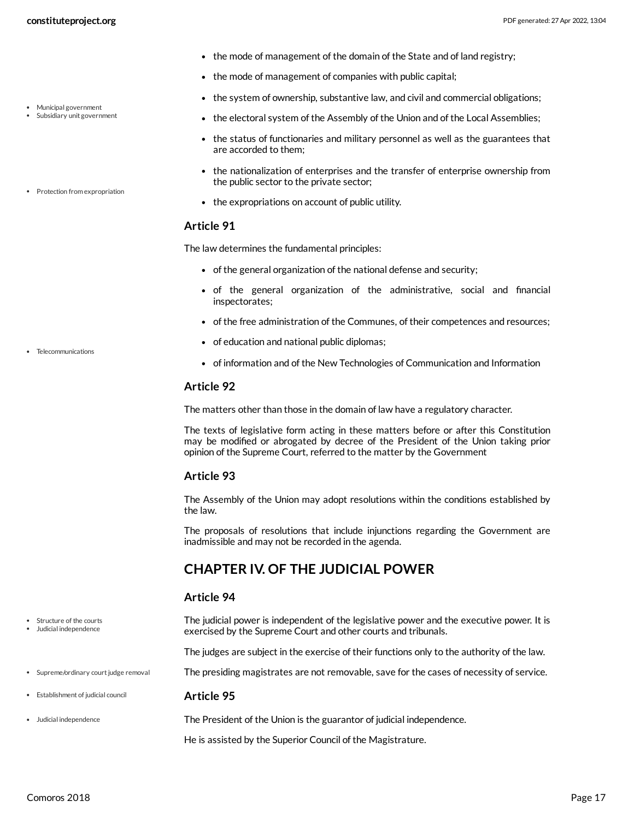- the mode of management of the domain of the State and of land registry;
- the mode of management of companies with public capital;
- the system of ownership, substantive law, and civil and commercial obligations;
- <span id="page-16-3"></span>the electoral system of the Assembly of the Union and of the Local Assemblies;
- the status of functionaries and military personnel as well as the guarantees that are accorded to them;
- the nationalization of enterprises and the transfer of enterprise ownership from the public sector to the private sector;
- <span id="page-16-4"></span>• the expropriations on account of public utility.

The law determines the fundamental principles:

- of the general organization of the national defense and security;
- of the general organization of the administrative, social and financial inspectorates;
- of the free administration of the Communes, of their competences and resources;
- of education and national public diplomas;
- <span id="page-16-6"></span>• of information and of the New Technologies of Communication and Information

#### **Article 92**

The matters other than those in the domain of law have a regulatory character.

The texts of legislative form acting in these matters before or after this Constitution may be modified or abrogated by decree of the President of the Union taking prior opinion of the Supreme Court, referred to the matter by the Government

#### **Article 93**

The Assembly of the Union may adopt resolutions within the conditions established by the law.

The proposals of resolutions that include injunctions regarding the Government are inadmissible and may not be recorded in the agenda.

### <span id="page-16-0"></span>**CHAPTER IV. OF THE JUDICIAL POWER**

#### <span id="page-16-2"></span>**Article 94**

The judicial power is independent of the legislative power and the executive power. It is exercised by the Supreme Court and other courts and tribunals.

The judges are subject in the exercise of their functions only to the authority of the law.

<span id="page-16-5"></span>The presiding magistrates are not removable, save for the cases of necessity of service.

#### <span id="page-16-1"></span>**Article 95**

The President of the Union is the guarantor of judicial independence.

He is assisted by the Superior Council of the Magistrature.

Municipal government Subsidiary unit government

• Protection from expropriation

• Telecommunications

Structure of the courts Judicial independence

• Supreme/ordinary court judge removal

Establishment of judicial council

Judicial independence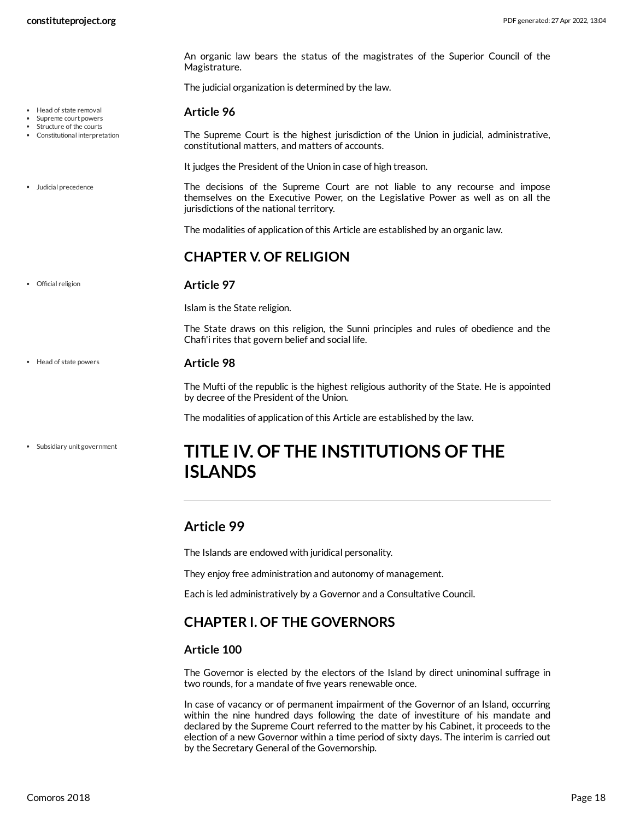• Head of state removal Supreme court powers Structure of the courts Constitutional interpretation

Judicial precedence

Official religion

An organic law bears the status of the magistrates of the Superior Council of the Magistrature.

The judicial organization is determined by the law.

#### <span id="page-17-6"></span>**Article 96**

<span id="page-17-4"></span>The Supreme Court is the highest jurisdiction of the Union in judicial, administrative, constitutional matters, and matters of accounts.

<span id="page-17-7"></span>It judges the President of the Union in case of high treason.

The decisions of the Supreme Court are not liable to any recourse and impose themselves on the Executive Power, on the Legislative Power as well as on all the jurisdictions of the national territory.

The modalities of application of this Article are established by an organic law.

### <span id="page-17-0"></span>**CHAPTER V. OF RELIGION**

#### **Article 97**

<span id="page-17-8"></span>Islam is the State religion.

The State draws on this religion, the Sunni principles and rules of obedience and the Chafi'i rites that govern belief and social life.

#### **Article 98**

<span id="page-17-5"></span>The Mufti of the republic is the highest religious authority of the State. He is appointed by decree of the President of the Union.

The modalities of application of this Article are established by the law.

# <span id="page-17-1"></span>**TITLE IV. OF THE INSTITUTIONS OF THE ISLANDS**

# <span id="page-17-2"></span>**Article 99**

The Islands are endowed with juridical personality.

They enjoy free administration and autonomy of management.

Each is led administratively by a Governor and a Consultative Council.

# <span id="page-17-3"></span>**CHAPTER I. OF THE GOVERNORS**

#### **Article 100**

The Governor is elected by the electors of the Island by direct uninominal suffrage in two rounds, for a mandate of five years renewable once.

In case of vacancy or of permanent impairment of the Governor of an Island, occurring within the nine hundred days following the date of investiture of his mandate and declared by the Supreme Court referred to the matter by his Cabinet, it proceeds to the election of a new Governor within a time period of sixty days. The interim is carried out by the Secretary General of the Governorship.

• Head of state powers

Subsidiary unit government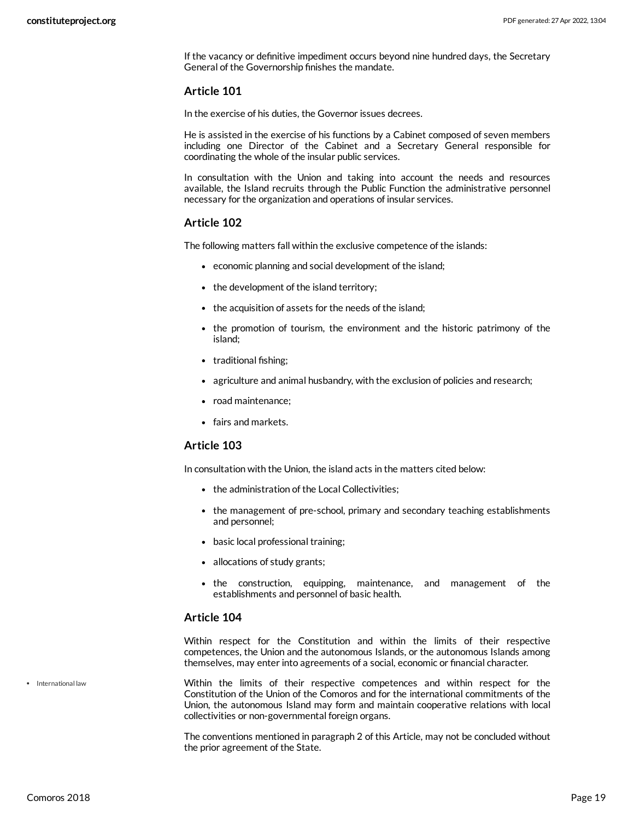If the vacancy or definitive impediment occurs beyond nine hundred days, the Secretary General of the Governorship finishes the mandate.

#### **Article 101**

In the exercise of his duties, the Governor issues decrees.

He is assisted in the exercise of his functions by a Cabinet composed of seven members including one Director of the Cabinet and a Secretary General responsible for coordinating the whole of the insular public services.

In consultation with the Union and taking into account the needs and resources available, the Island recruits through the Public Function the administrative personnel necessary for the organization and operations of insular services.

#### **Article 102**

The following matters fall within the exclusive competence of the islands:

- economic planning and social development of the island;
- the development of the island territory;
- the acquisition of assets for the needs of the island;
- the promotion of tourism, the environment and the historic patrimony of the island;
- traditional fishing:
- agriculture and animal husbandry, with the exclusion of policies and research;
- road maintenance;
- fairs and markets.

#### **Article 103**

In consultation with the Union, the island acts in the matters cited below:

- the administration of the Local Collectivities:
- the management of pre-school, primary and secondary teaching establishments and personnel;
- basic local professional training;
- allocations of study grants;
- the construction, equipping, maintenance, and management of the establishments and personnel of basic health.

#### **Article 104**

Within respect for the Constitution and within the limits of their respective competences, the Union and the autonomous Islands, or the autonomous Islands among themselves, may enter into agreements of a social, economic or financial character.

<span id="page-18-0"></span>Within the limits of their respective competences and within respect for the Constitution of the Union of the Comoros and for the international commitments of the Union, the autonomous Island may form and maintain cooperative relations with local collectivities or non-governmental foreign organs.

The conventions mentioned in paragraph 2 of this Article, may not be concluded without the prior agreement of the State.

• International law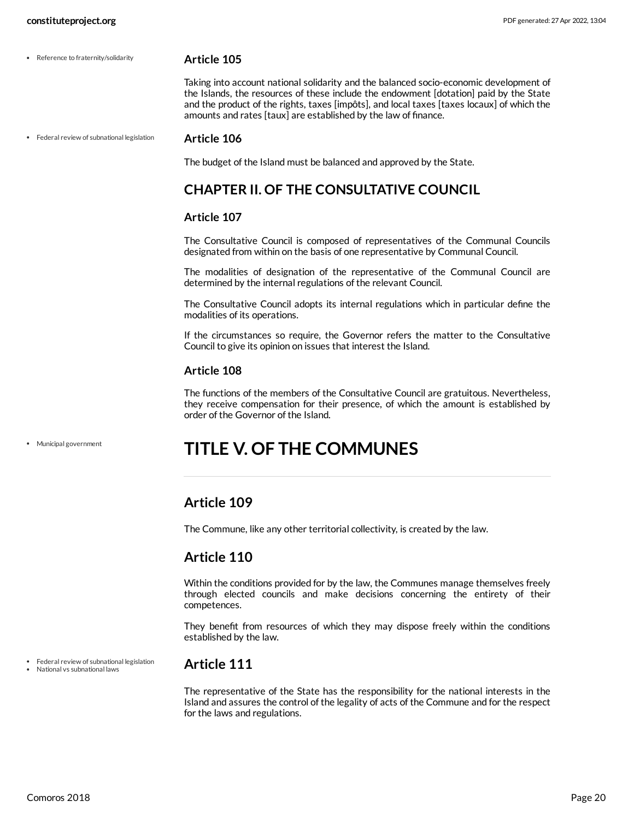• Reference to fraternity/solidarity

#### <span id="page-19-6"></span>**Article 105**

Taking into account national solidarity and the balanced socio-economic development of the Islands, the resources of these include the endowment [dotation] paid by the State and the product of the rights, taxes [impôts], and local taxes [taxes locaux] of which the amounts and rates [taux] are established by the law of finance.

• Federal review of subnational legislation

#### <span id="page-19-5"></span>**Article 106**

The budget of the Island must be balanced and approved by the State.

# <span id="page-19-0"></span>**CHAPTER II. OF THE CONSULTATIVE COUNCIL**

#### **Article 107**

The Consultative Council is composed of representatives of the Communal Councils designated from within on the basis of one representative by Communal Council.

The modalities of designation of the representative of the Communal Council are determined by the internal regulations of the relevant Council.

The Consultative Council adopts its internal regulations which in particular define the modalities of its operations.

If the circumstances so require, the Governor refers the matter to the Consultative Council to give its opinion on issues that interest the Island.

#### **Article 108**

The functions of the members of the Consultative Council are gratuitous. Nevertheless, they receive compensation for their presence, of which the amount is established by order of the Governor of the Island.

Municipal government

# <span id="page-19-1"></span>**TITLE V. OF THE COMMUNES**

### <span id="page-19-2"></span>**Article 109**

The Commune, like any other territorial collectivity, is created by the law.

### <span id="page-19-3"></span>**Article 110**

Within the conditions provided for by the law, the Communes manage themselves freely through elected councils and make decisions concerning the entirety of their competences.

They benefit from resources of which they may dispose freely within the conditions established by the law.

Federal review of subnational legislation

#### National vs subnational laws

### <span id="page-19-4"></span>**Article 111**

The representative of the State has the responsibility for the national interests in the Island and assures the control of the legality of acts of the Commune and for the respect for the laws and regulations.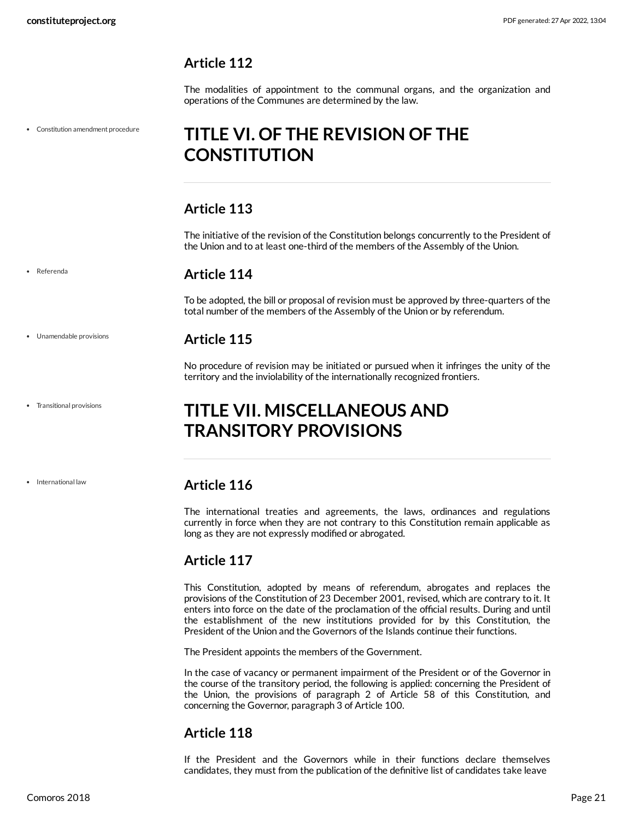<span id="page-20-0"></span>The modalities of appointment to the communal organs, and the organization and operations of the Communes are determined by the law.

Constitution amendment procedure

# <span id="page-20-1"></span>**TITLE VI. OF THE REVISION OF THE CONSTITUTION**

# <span id="page-20-2"></span>**Article 113**

The initiative of the revision of the Constitution belongs concurrently to the President of the Union and to at least one-third of the members of the Assembly of the Union.

# <span id="page-20-3"></span>**Article 114**

To be adopted, the bill or proposal of revision must be approved by three-quarters of the total number of the members of the Assembly of the Union or by referendum.

# <span id="page-20-4"></span>**Article 115**

No procedure of revision may be initiated or pursued when it infringes the unity of the territory and the inviolability of the internationally recognized frontiers.

# <span id="page-20-5"></span>**TITLE VII. MISCELLANEOUS AND TRANSITORY PROVISIONS**

• International law

Unamendable provisions

Transitional provisions

Referenda

# <span id="page-20-6"></span>**Article 116**

The international treaties and agreements, the laws, ordinances and regulations currently in force when they are not contrary to this Constitution remain applicable as long as they are not expressly modified or abrogated.

# <span id="page-20-7"></span>**Article 117**

This Constitution, adopted by means of referendum, abrogates and replaces the provisions of the Constitution of 23 December 2001, revised, which are contrary to it. It enters into force on the date of the proclamation of the official results. During and until the establishment of the new institutions provided for by this Constitution, the President of the Union and the Governors of the Islands continue their functions.

The President appoints the members of the Government.

In the case of vacancy or permanent impairment of the President or of the Governor in the course of the transitory period, the following is applied: concerning the President of the Union, the provisions of paragraph 2 of Article 58 of this Constitution, and concerning the Governor, paragraph 3 of Article 100.

# <span id="page-20-8"></span>**Article 118**

If the President and the Governors while in their functions declare themselves candidates, they must from the publication of the definitive list of candidates take leave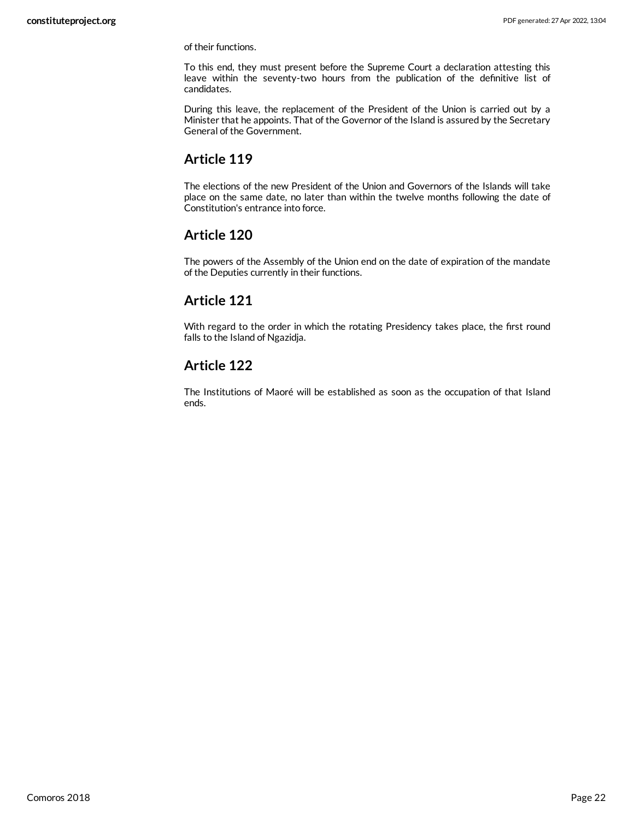of their functions.

To this end, they must present before the Supreme Court a declaration attesting this leave within the seventy-two hours from the publication of the definitive list of candidates.

During this leave, the replacement of the President of the Union is carried out by a Minister that he appoints. That of the Governor of the Island is assured by the Secretary General of the Government.

# <span id="page-21-0"></span>**Article 119**

The elections of the new President of the Union and Governors of the Islands will take place on the same date, no later than within the twelve months following the date of Constitution's entrance into force.

# <span id="page-21-1"></span>**Article 120**

The powers of the Assembly of the Union end on the date of expiration of the mandate of the Deputies currently in their functions.

# <span id="page-21-2"></span>**Article 121**

With regard to the order in which the rotating Presidency takes place, the first round falls to the Island of Ngazidja.

# <span id="page-21-3"></span>**Article 122**

The Institutions of Maoré will be established as soon as the occupation of that Island ends.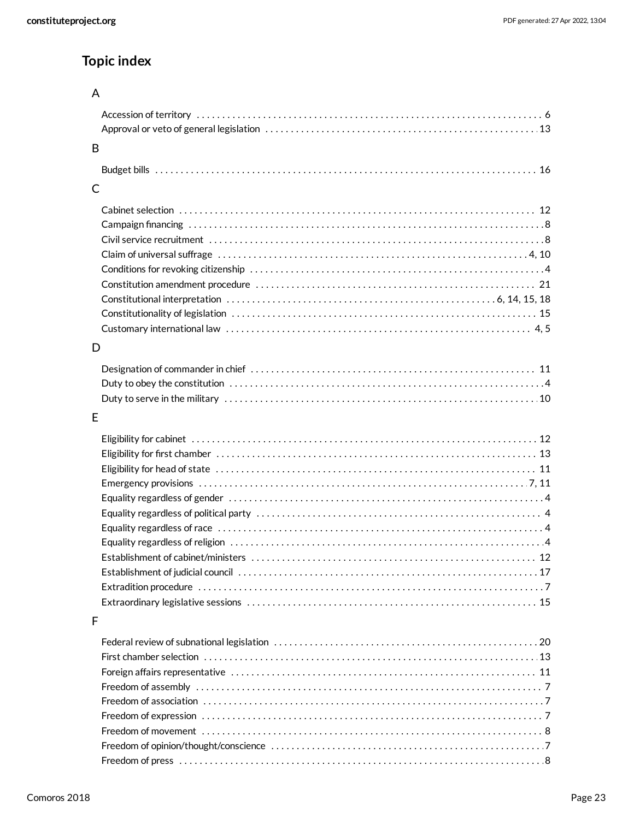# **Topic index**

# A

| -B |  |
|----|--|
|    |  |
| C  |  |

# D

# E

# F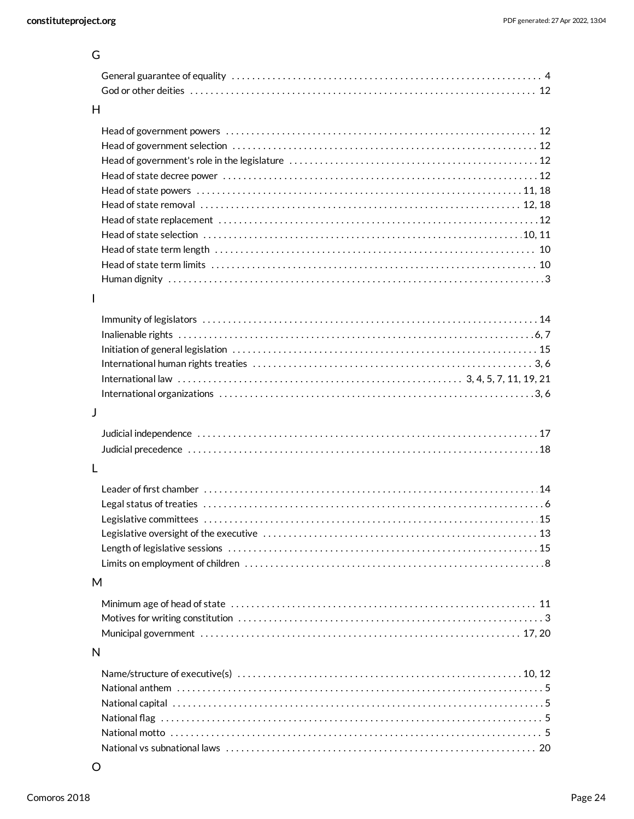| ۰. | ×<br>×<br>I |  |
|----|-------------|--|
|    |             |  |

| u            |      |
|--------------|------|
|              |      |
| H            |      |
|              |      |
|              |      |
| $\mathbf{I}$ |      |
|              |      |
| J            |      |
| L            |      |
|              | . 15 |
| M            |      |
|              |      |
| N            |      |
|              |      |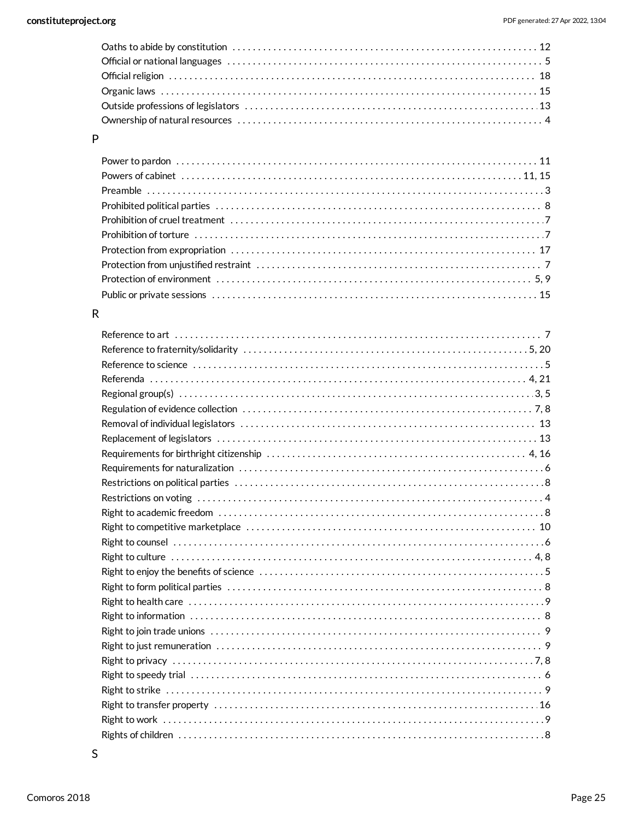# $\mathsf{P}$

# ${\sf R}$

| Reference to science with the continuum of the control of the control of the control of the control of the control of the control of the control of the control of the control of the control of the control of the control of |
|--------------------------------------------------------------------------------------------------------------------------------------------------------------------------------------------------------------------------------|
|                                                                                                                                                                                                                                |
|                                                                                                                                                                                                                                |
|                                                                                                                                                                                                                                |
|                                                                                                                                                                                                                                |
|                                                                                                                                                                                                                                |
|                                                                                                                                                                                                                                |
|                                                                                                                                                                                                                                |
|                                                                                                                                                                                                                                |
|                                                                                                                                                                                                                                |
|                                                                                                                                                                                                                                |
|                                                                                                                                                                                                                                |
|                                                                                                                                                                                                                                |
|                                                                                                                                                                                                                                |
|                                                                                                                                                                                                                                |
|                                                                                                                                                                                                                                |
|                                                                                                                                                                                                                                |
|                                                                                                                                                                                                                                |
|                                                                                                                                                                                                                                |
|                                                                                                                                                                                                                                |
|                                                                                                                                                                                                                                |
|                                                                                                                                                                                                                                |
|                                                                                                                                                                                                                                |
|                                                                                                                                                                                                                                |
|                                                                                                                                                                                                                                |
|                                                                                                                                                                                                                                |
|                                                                                                                                                                                                                                |